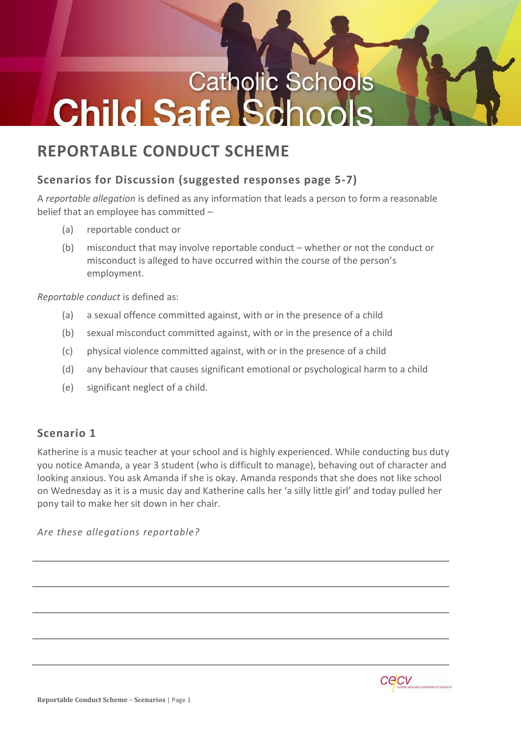# **Catholic Schools Child Safe S**

# **REPORTABLE CONDUCT SCHEME**

# **Scenarios for Discussion (suggested responses page 5-7)**

A *reportable allegation* is defined as any information that leads a person to form a reasonable belief that an employee has committed –

- (a) reportable conduct or
- (b) misconduct that may involve reportable conduct whether or not the conduct or misconduct is alleged to have occurred within the course of the person's employment.

*Reportable conduct* is defined as:

- (a) a sexual offence committed against, with or in the presence of a child
- (b) sexual misconduct committed against, with or in the presence of a child
- (c) physical violence committed against, with or in the presence of a child
- (d) any behaviour that causes significant emotional or psychological harm to a child
- (e) significant neglect of a child.

# **Scenario 1**

Katherine is a music teacher at your school and is highly experienced. While conducting bus duty you notice Amanda, a year 3 student (who is difficult to manage), behaving out of character and looking anxious. You ask Amanda if she is okay. Amanda responds that she does not like school on Wednesday as it is a music day and Katherine calls her 'a silly little girl' and today pulled her pony tail to make her sit down in her chair.

*Are these allegations reportable?*

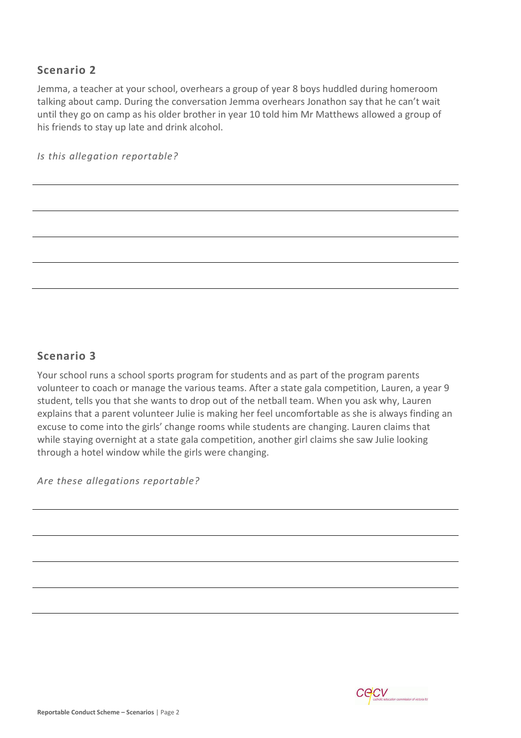Jemma, a teacher at your school, overhears a group of year 8 boys huddled during homeroom talking about camp. During the conversation Jemma overhears Jonathon say that he can't wait until they go on camp as his older brother in year 10 told him Mr Matthews allowed a group of his friends to stay up late and drink alcohol.

*Is this allegation reportable?*

#### **Scenario 3**

Your school runs a school sports program for students and as part of the program parents volunteer to coach or manage the various teams. After a state gala competition, Lauren, a year 9 student, tells you that she wants to drop out of the netball team. When you ask why, Lauren explains that a parent volunteer Julie is making her feel uncomfortable as she is always finding an excuse to come into the girls' change rooms while students are changing. Lauren claims that while staying overnight at a state gala competition, another girl claims she saw Julie looking through a hotel window while the girls were changing.

*Are these allegations reportable?*

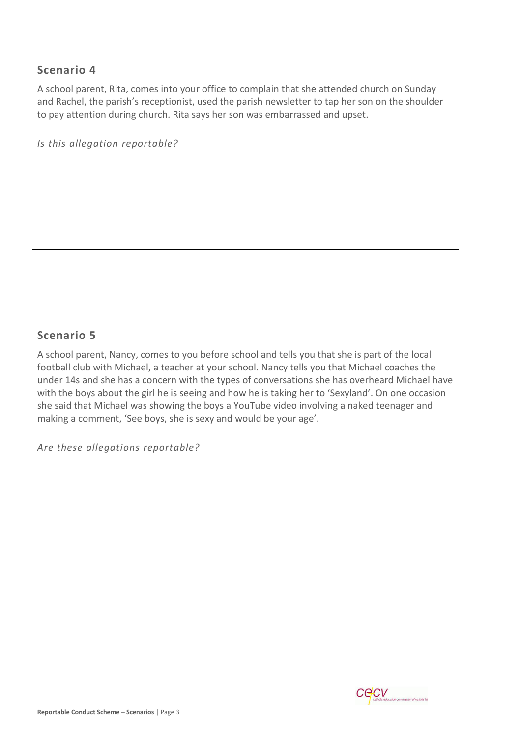A school parent, Rita, comes into your office to complain that she attended church on Sunday and Rachel, the parish's receptionist, used the parish newsletter to tap her son on the shoulder to pay attention during church. Rita says her son was embarrassed and upset.

*Is this allegation reportable?*

#### **Scenario 5**

A school parent, Nancy, comes to you before school and tells you that she is part of the local football club with Michael, a teacher at your school. Nancy tells you that Michael coaches the under 14s and she has a concern with the types of conversations she has overheard Michael have with the boys about the girl he is seeing and how he is taking her to 'Sexyland'. On one occasion she said that Michael was showing the boys a YouTube video involving a naked teenager and making a comment, 'See boys, she is sexy and would be your age'.

*Are these allegations reportable?*

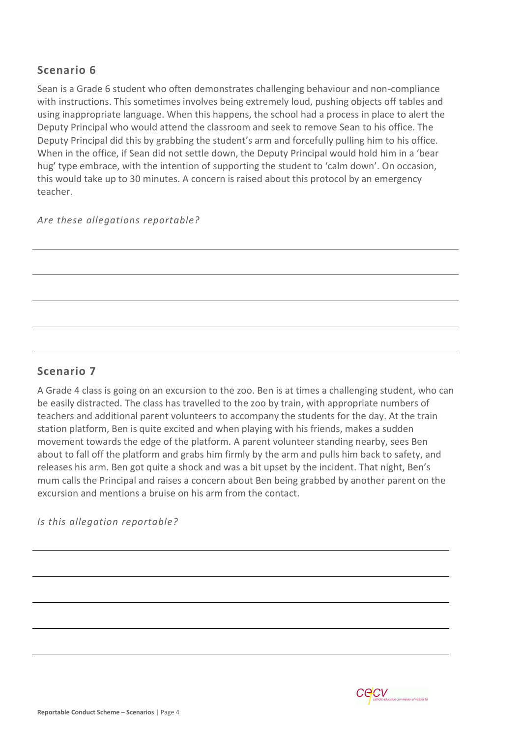Sean is a Grade 6 student who often demonstrates challenging behaviour and non-compliance with instructions. This sometimes involves being extremely loud, pushing objects off tables and using inappropriate language. When this happens, the school had a process in place to alert the Deputy Principal who would attend the classroom and seek to remove Sean to his office. The Deputy Principal did this by grabbing the student's arm and forcefully pulling him to his office. When in the office, if Sean did not settle down, the Deputy Principal would hold him in a 'bear hug' type embrace, with the intention of supporting the student to 'calm down'. On occasion, this would take up to 30 minutes. A concern is raised about this protocol by an emergency teacher.

#### *Are these allegations reportable?*

# **Scenario 7**

A Grade 4 class is going on an excursion to the zoo. Ben is at times a challenging student, who can be easily distracted. The class has travelled to the zoo by train, with appropriate numbers of teachers and additional parent volunteers to accompany the students for the day. At the train station platform, Ben is quite excited and when playing with his friends, makes a sudden movement towards the edge of the platform. A parent volunteer standing nearby, sees Ben about to fall off the platform and grabs him firmly by the arm and pulls him back to safety, and releases his arm. Ben got quite a shock and was a bit upset by the incident. That night, Ben's mum calls the Principal and raises a concern about Ben being grabbed by another parent on the excursion and mentions a bruise on his arm from the contact.

*Is this allegation reportable?*

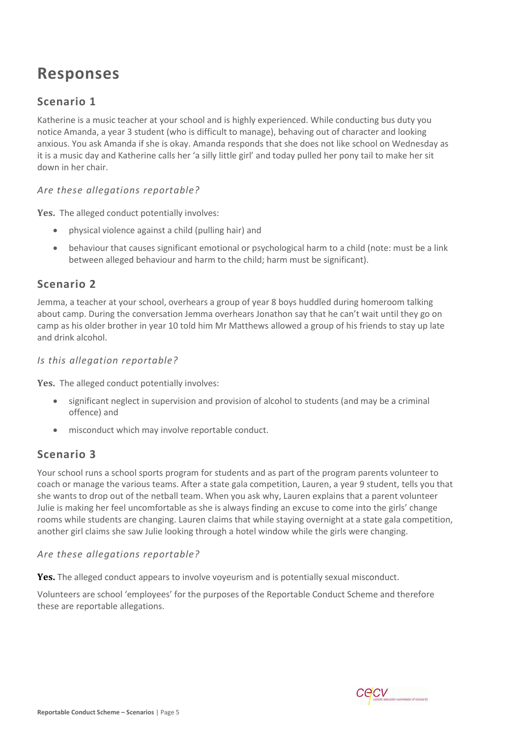# **Responses**

# **Scenario 1**

Katherine is a music teacher at your school and is highly experienced. While conducting bus duty you notice Amanda, a year 3 student (who is difficult to manage), behaving out of character and looking anxious. You ask Amanda if she is okay. Amanda responds that she does not like school on Wednesday as it is a music day and Katherine calls her 'a silly little girl' and today pulled her pony tail to make her sit down in her chair.

#### *Are these allegations reportable?*

Yes. The alleged conduct potentially involves:

- physical violence against a child (pulling hair) and
- behaviour that causes significant emotional or psychological harm to a child (note: must be a link between alleged behaviour and harm to the child; harm must be significant).

#### **Scenario 2**

Jemma, a teacher at your school, overhears a group of year 8 boys huddled during homeroom talking about camp. During the conversation Jemma overhears Jonathon say that he can't wait until they go on camp as his older brother in year 10 told him Mr Matthews allowed a group of his friends to stay up late and drink alcohol.

#### *Is this allegation reportable?*

**Yes.** The alleged conduct potentially involves:

- significant neglect in supervision and provision of alcohol to students (and may be a criminal offence) and
- misconduct which may involve reportable conduct.

#### **Scenario 3**

Your school runs a school sports program for students and as part of the program parents volunteer to coach or manage the various teams. After a state gala competition, Lauren, a year 9 student, tells you that she wants to drop out of the netball team. When you ask why, Lauren explains that a parent volunteer Julie is making her feel uncomfortable as she is always finding an excuse to come into the girls' change rooms while students are changing. Lauren claims that while staying overnight at a state gala competition, another girl claims she saw Julie looking through a hotel window while the girls were changing.

#### *Are these allegations reportable?*

**Yes.** The alleged conduct appears to involve voyeurism and is potentially sexual misconduct.

Volunteers are school 'employees' for the purposes of the Reportable Conduct Scheme and therefore these are reportable allegations.

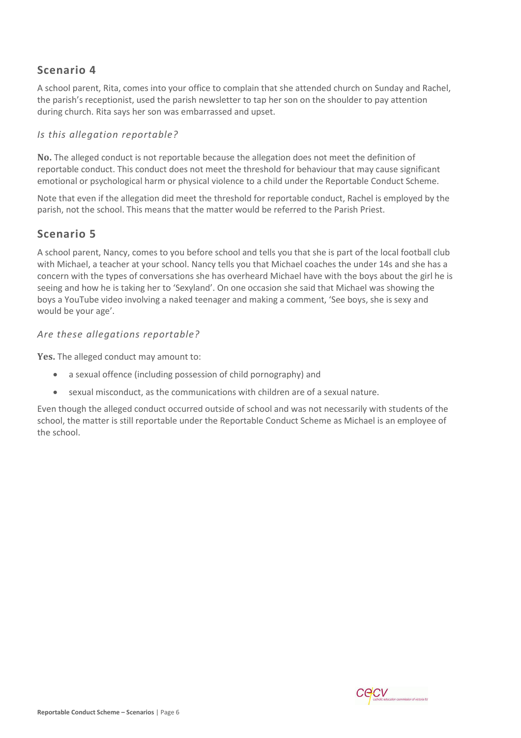A school parent, Rita, comes into your office to complain that she attended church on Sunday and Rachel, the parish's receptionist, used the parish newsletter to tap her son on the shoulder to pay attention during church. Rita says her son was embarrassed and upset.

#### *Is this allegation reportable?*

**No.** The alleged conduct is not reportable because the allegation does not meet the definition of reportable conduct. This conduct does not meet the threshold for behaviour that may cause significant emotional or psychological harm or physical violence to a child under the Reportable Conduct Scheme.

Note that even if the allegation did meet the threshold for reportable conduct, Rachel is employed by the parish, not the school. This means that the matter would be referred to the Parish Priest.

#### **Scenario 5**

A school parent, Nancy, comes to you before school and tells you that she is part of the local football club with Michael, a teacher at your school. Nancy tells you that Michael coaches the under 14s and she has a concern with the types of conversations she has overheard Michael have with the boys about the girl he is seeing and how he is taking her to 'Sexyland'. On one occasion she said that Michael was showing the boys a YouTube video involving a naked teenager and making a comment, 'See boys, she is sexy and would be your age'.

#### *Are these allegations reportable?*

**Yes.** The alleged conduct may amount to:

- a sexual offence (including possession of child pornography) and
- sexual misconduct, as the communications with children are of a sexual nature.

Even though the alleged conduct occurred outside of school and was not necessarily with students of the school, the matter is still reportable under the Reportable Conduct Scheme as Michael is an employee of the school.